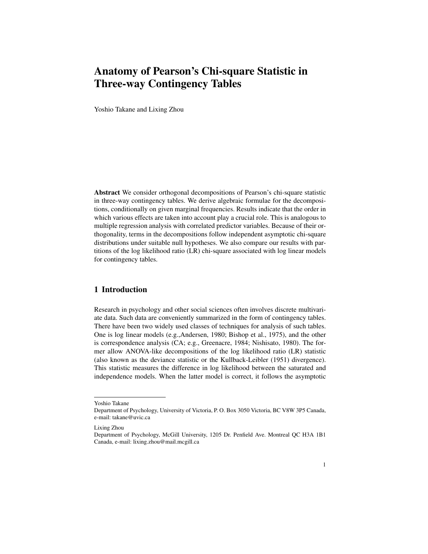# Anatomy of Pearson's Chi-square Statistic in Three-way Contingency Tables

Yoshio Takane and Lixing Zhou

Abstract We consider orthogonal decompositions of Pearson's chi-square statistic in three-way contingency tables. We derive algebraic formulae for the decompositions, conditionally on given marginal frequencies. Results indicate that the order in which various effects are taken into account play a crucial role. This is analogous to multiple regression analysis with correlated predictor variables. Because of their orthogonality, terms in the decompositions follow independent asymptotic chi-square distributions under suitable null hypotheses. We also compare our results with partitions of the log likelihood ratio (LR) chi-square associated with log linear models for contingency tables.

# 1 Introduction

Research in psychology and other social sciences often involves discrete multivariate data. Such data are conveniently summarized in the form of contingency tables. There have been two widely used classes of techniques for analysis of such tables. One is log linear models (e.g.,Andersen, 1980; Bishop et al., 1975), and the other is correspondence analysis (CA; e.g., Greenacre, 1984; Nishisato, 1980). The former allow ANOVA-like decompositions of the log likelihood ratio (LR) statistic (also known as the deviance statistic or the Kullback-Leibler (1951) divergence). This statistic measures the difference in log likelihood between the saturated and independence models. When the latter model is correct, it follows the asymptotic

Yoshio Takane

Department of Psychology, University of Victoria, P. O. Box 3050 Victoria, BC V8W 3P5 Canada, e-mail: takane@uvic.ca

Lixing Zhou

Department of Psychology, McGill University, 1205 Dr. Penfield Ave. Montreal QC H3A 1B1 Canada, e-mail: lixing.zhou@mail.mcgill.ca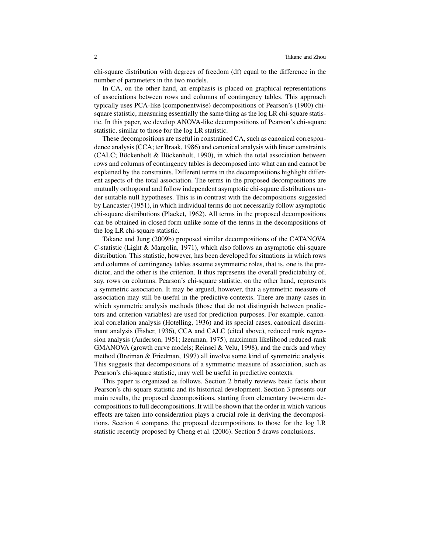chi-square distribution with degrees of freedom (df) equal to the difference in the number of parameters in the two models.

In CA, on the other hand, an emphasis is placed on graphical representations of associations between rows and columns of contingency tables. This approach typically uses PCA-like (componentwise) decompositions of Pearson's (1900) chisquare statistic, measuring essentially the same thing as the log LR chi-square statistic. In this paper, we develop ANOVA-like decompositions of Pearson's chi-square statistic, similar to those for the log LR statistic.

These decompositions are useful in constrained CA, such as canonical correspondence analysis (CCA; ter Braak, 1986) and canonical analysis with linear constraints (CALC; Böckenholt & Böckenholt, 1990), in which the total association between rows and columns of contingency tables is decomposed into what can and cannot be explained by the constraints. Different terms in the decompositions highlight different aspects of the total association. The terms in the proposed decompositions are mutually orthogonal and follow independent asymptotic chi-square distributions under suitable null hypotheses. This is in contrast with the decompositions suggested by Lancaster (1951), in which individual terms do not necessarily follow asymptotic chi-square distributions (Placket, 1962). All terms in the proposed decompositions can be obtained in closed form unlike some of the terms in the decompositions of the log LR chi-square statistic.

Takane and Jung (2009b) proposed similar decompositions of the CATANOVA *C*-statistic (Light & Margolin, 1971), which also follows an asymptotic chi-square distribution. This statistic, however, has been developed for situations in which rows and columns of contingency tables assume asymmetric roles, that is, one is the predictor, and the other is the criterion. It thus represents the overall predictability of, say, rows on columns. Pearson's chi-square statistic, on the other hand, represents a symmetric association. It may be argued, however, that a symmetric measure of association may still be useful in the predictive contexts. There are many cases in which symmetric analysis methods (those that do not distinguish between predictors and criterion variables) are used for prediction purposes. For example, canonical correlation analysis (Hotelling, 1936) and its special cases, canonical discriminant analysis (Fisher, 1936), CCA and CALC (cited above), reduced rank regression analysis (Anderson, 1951; Izenman, 1975), maximum likelihood reduced-rank GMANOVA (growth curve models; Reinsel & Velu, 1998), and the curds and whey method (Breiman & Friedman, 1997) all involve some kind of symmetric analysis. This suggests that decompositions of a symmetric measure of association, such as Pearson's chi-square statistic, may well be useful in predictive contexts.

This paper is organized as follows. Section 2 briefly reviews basic facts about Pearson's chi-square statistic and its historical development. Section 3 presents our main results, the proposed decompositions, starting from elementary two-term decompositions to full decompositions. It will be shown that the order in which various effects are taken into consideration plays a crucial role in deriving the decompositions. Section 4 compares the proposed decompositions to those for the log LR statistic recently proposed by Cheng et al. (2006). Section 5 draws conclusions.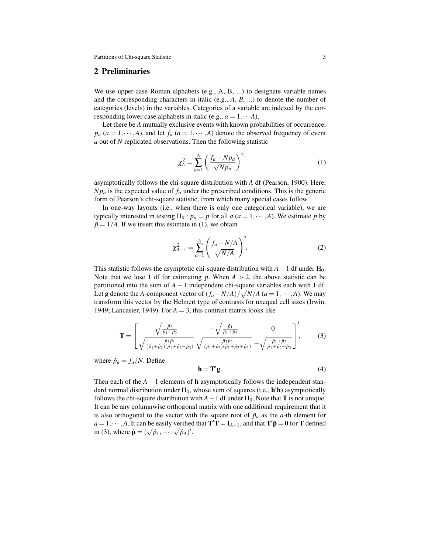#### 2 Preliminaries

We use upper-case Roman alphabets (e.g., A, B, ...) to designate variable names and the corresponding characters in italic (e.g., *A*, *B*, ...) to denote the number of categories (levels) in the variables. Categories of a variable are indexed by the corresponding lower case alphabets in italic (e.g.,  $a = 1, \dots A$ ).

Let there be *A* mutually exclusive events with known probabilities of occurrence,  $p_a$  ( $a = 1, \dots, A$ ), and let  $f_a$  ( $a = 1, \dots, A$ ) denote the observed frequency of event *a* out of *N* replicated observations. Then the following statistic

$$
\chi_A^2 = \sum_{a=1}^A \left( \frac{f_a - N p_a}{\sqrt{N p_a}} \right)^2 \tag{1}
$$

asymptotically follows the chi-square distribution with *A* df (Pearson, 1900). Here,  $N p_a$  is the expected value of  $f_a$  under the prescribed conditions. This is the generic form of Pearson's chi-square statistic, from which many special cases follow.

In one-way layouts (i.e., when there is only one categorical variable), we are typically interested in testing H<sub>0</sub> :  $p_a = p$  for all  $a (a = 1, \dots, A)$ . We estimate  $p$  by  $\hat{p} = 1/A$ . If we insert this estimate in (1), we obtain

$$
\chi_{A-1}^2 = \sum_{a=1}^A \left( \frac{f_a - N/A}{\sqrt{N/A}} \right)^2.
$$
 (2)

This statistic follows the asymptotic chi-square distribution with  $A-1$  df under H<sub>0</sub>. Note that we lose 1 df for estimating *p*. When  $A > 2$ , the above statistic can be partitioned into the sum of *A −* 1 independent chi-square variables each with 1 df. Let **g** denote the *A*-component vector of  $(f_a - N/A)/\sqrt{N/A}$  ( $a = 1, \dots, A$ ). We may transform this vector by the Helmert type of contrasts for unequal cell sizes (Irwin, 1949; Lancaster, 1949). For  $A = 3$ , this contrast matrix looks like

$$
\mathbf{T} = \begin{bmatrix} \sqrt{\frac{\hat{p}_2}{\hat{p}_1 + \hat{p}_2}} & -\sqrt{\frac{\hat{p}_1}{\hat{p}_1 + \hat{p}_2}} & 0\\ \sqrt{\frac{\hat{p}_3 \hat{p}_1}{(\hat{p}_1 + \hat{p}_2)(\hat{p}_1 + \hat{p}_2 + \hat{p}_3)}} & \sqrt{\frac{\hat{p}_3 \hat{p}_2}{(\hat{p}_1 + \hat{p}_2)(\hat{p}_1 + \hat{p}_2 + \hat{p}_3)}} - \sqrt{\frac{\hat{p}_1 + \hat{p}_2}{\hat{p}_1 + \hat{p}_2 + \hat{p}_3}} \end{bmatrix},
$$
(3)

where  $\hat{p}_a = f_a/N$ . Define

$$
\mathbf{h} = \mathbf{T}'\mathbf{g}.\tag{4}
$$

Then each of the *A−*1 elements of h asymptotically follows the independent standard normal distribution under H<sub>0</sub>, whose sum of squares (i.e., **h'h**) asymptotically follows the chi-square distribution with  $A-1$  df under H<sub>0</sub>. Note that **T** is not unique. It can be any columnwise orthogonal matrix with one additional requirement that it is also orthogonal to the vector with the square root of  $\hat{p}_a$  as the *a*-th element for  $a = 1, \dots, A$ . It can be easily verified that  $T'T = I_{A-1}$ , and that  $T' \hat{p} = 0$  for T defined in (3), where  $\hat{\mathbf{p}} = (\sqrt{\hat{p}_1}, \cdots, \sqrt{\hat{p}_A})'$ .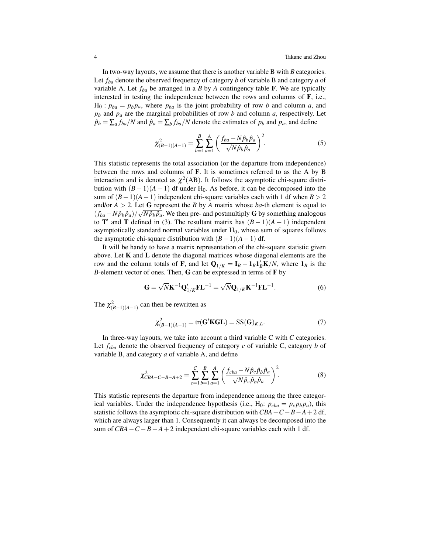In two-way layouts, we assume that there is another variable B with *B* categories. Let *fba* denote the observed frequency of category *b* of variable B and category *a* of variable A. Let  $f_{ba}$  be arranged in a *B* by *A* contingency table **F**. We are typically interested in testing the independence between the rows and columns of F, i.e.,  $H_0$ :  $p_{ba} = p_b p_a$ , where  $p_{ba}$  is the joint probability of row *b* and column *a*, and  $p_b$  and  $p_a$  are the marginal probabilities of row *b* and column *a*, respectively. Let  $\hat{p}_b = \sum_a f_{ba} / N$  and  $\hat{p}_a = \sum_b f_{ba} / N$  denote the estimates of  $p_b$  and  $p_a$ , and define

$$
\chi_{(B-1)(A-1)}^2 = \sum_{b=1}^B \sum_{a=1}^A \left( \frac{f_{ba} - N \hat{p}_b \hat{p}_a}{\sqrt{N \hat{p}_b \hat{p}_a}} \right)^2.
$$
 (5)

This statistic represents the total association (or the departure from independence) between the rows and columns of F. It is sometimes referred to as the A by B interaction and is denoted as  $\chi^2(AB)$ . It follows the asymptotic chi-square distribution with  $(B-1)(A-1)$  df under H<sub>0</sub>. As before, it can be decomposed into the sum of  $(B-1)(A-1)$  independent chi-square variables each with 1 df when  $B > 2$ and/or  $A > 2$ . Let G represent the *B* by *A* matrix whose *ba*-th element is equal to  $(f_{ba} - N\hat{p}_b\hat{p}_a)/\sqrt{N\hat{p}_b\hat{p}_a}$ . We then pre- and postmultiply G by something analogous to **T**<sup> $\prime$ </sup> and **T** defined in (3). The resultant matrix has  $(B-1)(A-1)$  independent asymptotically standard normal variables under  $H_0$ , whose sum of squares follows the asymptotic chi-square distribution with  $(B-1)(A-1)$  df.

It will be handy to have a matrix representation of the chi-square statistic given above. Let K and L denote the diagonal matrices whose diagonal elements are the row and the column totals of **F**, and let  $Q_{1/K} = I_B - I_B I'_B K/N$ , where  $I_B$  is the *B*-element vector of ones. Then, G can be expressed in terms of F by

$$
G = \sqrt{N}K^{-1}Q'_{1/K}FL^{-1} = \sqrt{N}Q_{1/K}K^{-1}FL^{-1}.
$$
 (6)

The  $\chi^2_{(B-1)(A-1)}$  can then be rewritten as

$$
\chi^2_{(B-1)(A-1)} = \text{tr}(\mathbf{G}'\mathbf{KGL}) = \text{SS}(\mathbf{G})_{K,L}.\tag{7}
$$

In three-way layouts, we take into account a third variable C with *C* categories. Let *fcba* denote the observed frequency of category *c* of variable C, category *b* of variable B, and category *a* of variable A, and define

$$
\chi_{CBA-C-B-A+2}^{2} = \sum_{c=1}^{C} \sum_{b=1}^{B} \sum_{a=1}^{A} \left( \frac{f_{cba} - N\hat{p}_c \hat{p}_b \hat{p}_a}{\sqrt{N\hat{p}_c \hat{p}_b \hat{p}_a}} \right)^2.
$$
(8)

This statistic represents the departure from independence among the three categorical variables. Under the independence hypothesis (i.e.,  $H_0: p_{cba} = p_c p_b p_a$ ), this statistic follows the asymptotic chi-square distribution with *CBA−C−B−A*+2 df, which are always larger than 1. Consequently it can always be decomposed into the sum of *CBA−C −B−A*+2 independent chi-square variables each with 1 df.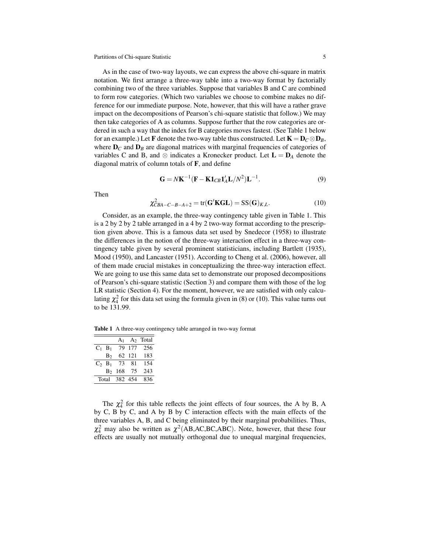As in the case of two-way layouts, we can express the above chi-square in matrix notation. We first arrange a three-way table into a two-way format by factorially combining two of the three variables. Suppose that variables B and C are combined to form row categories. (Which two variables we choose to combine makes no difference for our immediate purpose. Note, however, that this will have a rather grave impact on the decompositions of Pearson's chi-square statistic that follow.) We may then take categories of A as columns. Suppose further that the row categories are ordered in such a way that the index for B categories moves fastest. (See Table 1 below for an example.) Let **F** denote the two-way table thus constructed. Let  $K = D_C \otimes D_B$ , where  $D_C$  and  $D_B$  are diagonal matrices with marginal frequencies of categories of variables C and B, and  $\otimes$  indicates a Kronecker product. Let  $\mathbf{L} = \mathbf{D}_A$  denote the diagonal matrix of column totals of  $\bf{F}$ , and define

$$
\mathbf{G} = N\mathbf{K}^{-1}(\mathbf{F} - \mathbf{K}\mathbf{1}_{CB}\mathbf{1}'_{A}\mathbf{L}/N^{2})\mathbf{L}^{-1}.
$$
 (9)

Then

$$
\chi_{CBA-C-B-A+2}^2 = \text{tr}(\mathbf{G}'\mathbf{KGL}) = \text{SS}(\mathbf{G})_{K,L}.\tag{10}
$$

Consider, as an example, the three-way contingency table given in Table 1. This is a 2 by 2 by 2 table arranged in a 4 by 2 two-way format according to the prescription given above. This is a famous data set used by Snedecor (1958) to illustrate the differences in the notion of the three-way interaction effect in a three-way contingency table given by several prominent statisticians, including Bartlett (1935), Mood (1950), and Lancaster (1951). According to Cheng et al. (2006), however, all of them made crucial mistakes in conceptualizing the three-way interaction effect. We are going to use this same data set to demonstrate our proposed decompositions of Pearson's chi-square statistic (Section 3) and compare them with those of the log LR statistic (Section 4). For the moment, however, we are satisfied with only calculating  $\chi^2$  for this data set using the formula given in (8) or (10). This value turns out to be 131.99.

Table 1 A three-way contingency table arranged in two-way format

|               |                |     |        | $A_1$ $A_2$ Total |
|---------------|----------------|-----|--------|-------------------|
| $C_1$ $B_1$   |                |     | 79 177 | 256               |
|               | B٠             |     | 62 121 | 183               |
| $C_2$ $B_1$   |                | -73 | -81    | 154               |
|               | B <sub>2</sub> | 168 | -75    | 243               |
| Total 382 454 |                |     |        | 836               |

The  $\chi^2$  for this table reflects the joint effects of four sources, the A by B, A by C, B by C, and A by B by C interaction effects with the main effects of the three variables A, B, and C being eliminated by their marginal probabilities. Thus,  $\chi^2$  may also be written as  $\chi^2$ (AB,AC,BC,ABC). Note, however, that these four effects are usually not mutually orthogonal due to unequal marginal frequencies,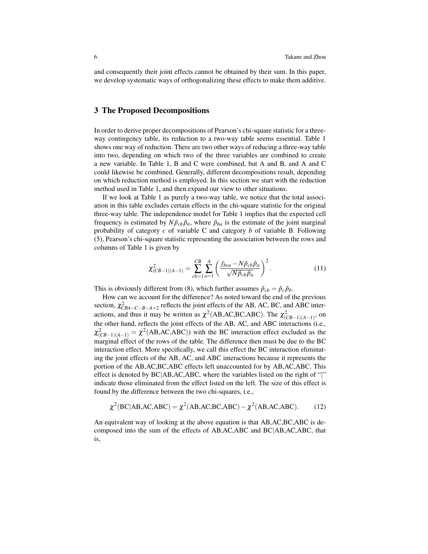and consequently their joint effects cannot be obtained by their sum. In this paper, we develop systematic ways of orthogonalizing these effects to make them additive.

## 3 The Proposed Decompositions

In order to derive proper decompositions of Pearson's chi-square statistic for a threeway contingency table, its reduction to a two-way table seems essential. Table 1 shows one way of reduction. There are two other ways of reducing a three-way table into two, depending on which two of the three variables are combined to create a new variable. In Table 1, B and C were combined, but A and B, and A and C could likewise be combined. Generally, different decompositions result, depending on which reduction method is employed. In this section we start with the reduction method used in Table 1, and then expand our view to other situations.

If we look at Table 1 as purely a two-way table, we notice that the total association in this table excludes certain effects in the chi-square statistic for the original three-way table. The independence model for Table 1 implies that the expected cell frequency is estimated by  $N\hat{p}_{cb}\hat{p}_a$ , where  $\hat{p}_{ba}$  is the estimate of the joint marginal probability of category *c* of variable C and category *b* of variable B. Following (5), Pearson's chi-square statistic representing the association between the rows and columns of Table 1 is given by

$$
\chi^2_{(CB-1)(A-1)} = \sum_{cb=1}^{CB} \sum_{a=1}^{A} \left( \frac{f_{bca} - N\hat{p}_{cb}\hat{p}_a}{\sqrt{N\hat{p}_{cb}\hat{p}_a}} \right)^2.
$$
 (11)

This is obviously different from (8), which further assumes  $\hat{p}_{cb} = \hat{p}_c \hat{p}_b$ .

How can we account for the difference? As noted toward the end of the previous section,  $\chi^2_{CBA-C-B-A+2}$  reflects the joint effects of the AB, AC, BC, and ABC inter-*CBA−C−B−A*+2 actions, and thus it may be written as  $\chi^2$ (AB,AC,BC,ABC). The  $\chi^2_{(CB-1)(A-1)}$ , on the other hand, reflects the joint effects of the AB, AC, and ABC interactions (i.e.,  $\chi^2_{(CB-1)(A-1)} = \chi^2(AB, AC, ABC)$ ) with the BC interaction effect excluded as the marginal effect of the rows of the table. The difference then must be due to the BC interaction effect. More specifically, we call this effect the BC interaction eliminating the joint effects of the AB, AC, and ABC interactions because it represents the portion of the AB,AC,BC,ABC effects left unaccounted for by AB,AC,ABC. This effect is denoted by BC*|*AB,AC,ABC, where the variables listed on the right of "*|*" indicate those eliminated from the effect listed on the left. The size of this effect is found by the difference between the two chi-squares, i.e.,

$$
\chi^2(\text{BC}|AB, AC, ABC) = \chi^2(\text{AB}, AC, BC, ABC) - \chi^2(\text{AB}, AC, ABC). \tag{12}
$$

An equivalent way of looking at the above equation is that AB,AC,BC,ABC is decomposed into the sum of the effects of AB,AC,ABC and BC*|*AB,AC,ABC, that is,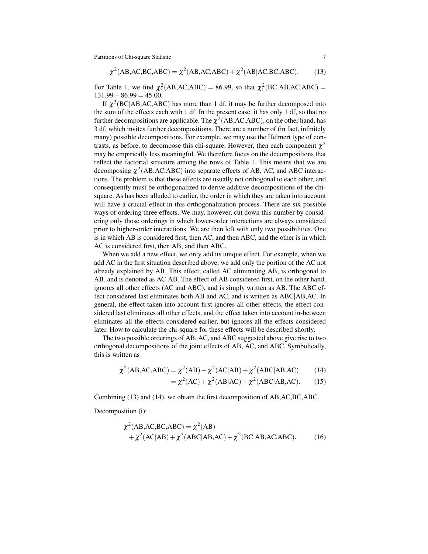$$
\chi^2(AB, AC, BC, ABC) = \chi^2(AB, AC, ABC) + \chi^2(AB|AC, BC, ABC). \tag{13}
$$

For Table 1, we find  $\chi_3^2(AB, AC, ABC) = 86.99$ , so that  $\chi_1^2(BC|AB, AC, ABC) =$ 131*.*99*−*86*.*99 = 45*.*00.

If  $\chi^2(BC|AB, AC, ABC)$  has more than 1 df, it may be further decomposed into the sum of the effects each with 1 df. In the present case, it has only 1 df, so that no further decompositions are applicable. The  $\chi^2(AB, AC, ABC)$ , on the other hand, has 3 df, which invites further decompositions. There are a number of (in fact, infinitely many) possible decompositions. For example, we may use the Helmert type of contrasts, as before, to decompose this chi-square. However, then each component  $\chi^2$ may be empirically less meaningful. We therefore focus on the decompositions that reflect the factorial structure among the rows of Table 1. This means that we are decomposing  $\chi^2$ (AB,AC,ABC) into separate effects of AB, AC, and ABC interactions. The problem is that these effects are usually not orthogonal to each other, and consequently must be orthogonalized to derive additive decompositions of the chisquare. As has been alluded to earlier, the order in which they are taken into account will have a crucial effect in this orthogonalization process. There are six possible ways of ordering three effects. We may, however, cut down this number by considering only those orderings in which lower-order interactions are always considered prior to higher-order interactions. We are then left with only two possibilities. One is in which AB is considered first, then AC, and then ABC, and the other is in which AC is considered first, then AB, and then ABC.

When we add a new effect, we only add its unique effect. For example, when we add AC in the first situation described above, we add only the portion of the AC not already explained by AB. This effect, called AC eliminating AB, is orthogonal to AB, and is denoted as AC*|*AB. The effect of AB considered first, on the other hand, ignores all other effects (AC and ABC), and is simply written as AB. The ABC effect considered last eliminates both AB and AC, and is written as ABC*|*AB,AC. In general, the effect taken into account first ignores all other effects, the effect considered last eliminates all other effects, and the effect taken into account in-between eliminates all the effects considered earlier, but ignores all the effects considered later. How to calculate the chi-square for these effects will be described shortly.

The two possible orderings of AB, AC, and ABC suggested above give rise to two orthogonal decompositions of the joint effects of AB, AC, and ABC. Symbolically, this is written as

$$
\chi^2(AB, AC, ABC) = \chi^2(AB) + \chi^2(AC|AB) + \chi^2(ABC|AB, AC)
$$
 (14)

$$
= \chi^2(AC) + \chi^2(AB|AC) + \chi^2(ABC|AB,AC).
$$
 (15)

Combining (13) and (14), we obtain the first decomposition of AB,AC,BC,ABC.

Decomposition (i):

$$
\chi^2(AB, AC, BC, ABC) = \chi^2(AB)
$$
  
+ 
$$
\chi^2(AC|AB) + \chi^2(ABC|AB, AC) + \chi^2(BC|AB, AC, ABC).
$$
 (16)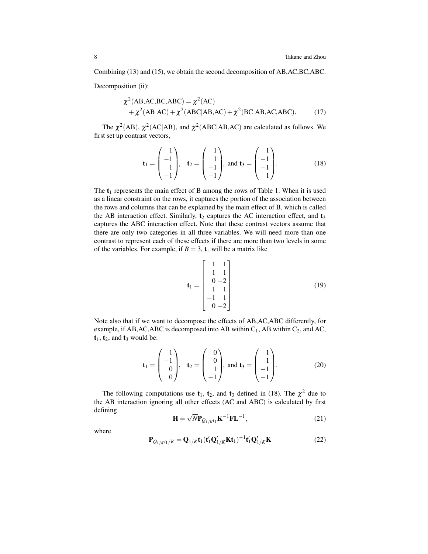Combining (13) and (15), we obtain the second decomposition of AB,AC,BC,ABC.

Decomposition (ii):

$$
\chi^2(AB, AC, BC, ABC) = \chi^2(AC)
$$
  
+  $\chi^2(AB|AC) + \chi^2(ABC|AB, AC) + \chi^2(BC|AB, AC, ABC).$  (17)

The  $\chi^2(AB)$ ,  $\chi^2(AC|AB)$ , and  $\chi^2(ABC|AB,AC)$  are calculated as follows. We first set up contrast vectors,

$$
\mathbf{t}_1 = \begin{pmatrix} 1 \\ -1 \\ 1 \\ -1 \end{pmatrix}, \quad \mathbf{t}_2 = \begin{pmatrix} 1 \\ 1 \\ -1 \\ -1 \end{pmatrix}, \text{ and } \mathbf{t}_3 = \begin{pmatrix} 1 \\ -1 \\ -1 \\ 1 \end{pmatrix}.
$$
 (18)

The  $t_1$  represents the main effect of B among the rows of Table 1. When it is used as a linear constraint on the rows, it captures the portion of the association between the rows and columns that can be explained by the main effect of B, which is called the AB interaction effect. Similarly,  $t_2$  captures the AC interaction effect, and  $t_3$ captures the ABC interaction effect. Note that these contrast vectors assume that there are only two categories in all three variables. We will need more than one contrast to represent each of these effects if there are more than two levels in some of the variables. For example, if  $B = 3$ ,  $t_1$  will be a matrix like

$$
\mathbf{t}_1 = \begin{bmatrix} 1 & 1 \\ -1 & 1 \\ 0 & -2 \\ 1 & 1 \\ -1 & 1 \\ 0 & -2 \end{bmatrix} . \tag{19}
$$

Note also that if we want to decompose the effects of AB,AC,ABC differently, for example, if AB, AC, ABC is decomposed into AB within  $C_1$ , AB within  $C_2$ , and AC,  $t_1$ ,  $t_2$ , and  $t_3$  would be:

$$
\mathbf{t}_1 = \begin{pmatrix} 1 \\ -1 \\ 0 \\ 0 \end{pmatrix}, \quad \mathbf{t}_2 = \begin{pmatrix} 0 \\ 0 \\ 1 \\ -1 \end{pmatrix}, \text{ and } \mathbf{t}_3 = \begin{pmatrix} 1 \\ 1 \\ -1 \\ -1 \end{pmatrix}. \tag{20}
$$

The following computations use  $t_1$ ,  $t_2$ , and  $t_3$  defined in (18). The  $\chi^2$  due to the AB interaction ignoring all other effects (AC and ABC) is calculated by first defining

$$
\mathbf{H} = \sqrt{N} \mathbf{P}_{Q_{1/K}t_1} \mathbf{K}^{-1} \mathbf{F} \mathbf{L}^{-1},\tag{21}
$$

where

$$
\mathbf{P}_{Q_{1/K}t_1/K} = \mathbf{Q}_{1/K}\mathbf{t}_1(\mathbf{t}_1'\mathbf{Q}_{1/K}'\mathbf{K}\mathbf{t}_1)^{-1}\mathbf{t}_1'\mathbf{Q}_{1/K}'\mathbf{K}
$$
(22)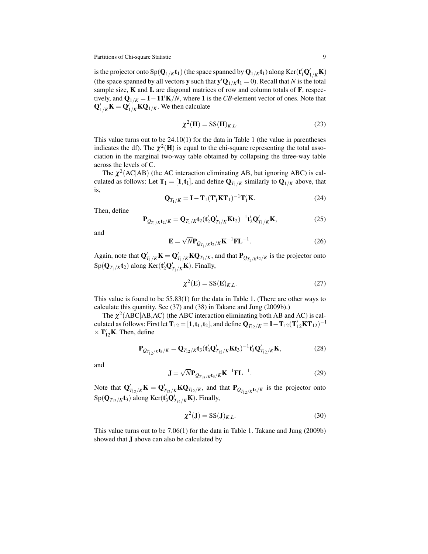is the projector onto  $Sp({\bf Q}_{1/K}{\bf t}_1)$  (the space spanned by  ${\bf Q}_{1/K}{\bf t}_1$ ) along  $Ker({\bf t}'_1{\bf Q}'_{1/K}{\bf K})$ (the space spanned by all vectors **y** such that  $y'Q_{1/K}t_1 = 0$ ). Recall that *N* is the total sample size,  $K$  and  $L$  are diagonal matrices of row and column totals of  $F$ , respectively, and  $Q_{1/K} = I - 11'K/N$ , where 1 is the *CB*-element vector of ones. Note that  ${\bf Q}'_{1/K} {\bf K} = {\bf Q}'_{1/K} {\bf K} {\bf Q}_{1/K}$ . We then calculate

$$
\chi^2(\mathbf{H}) = \text{SS}(\mathbf{H})_{K,L}.\tag{23}
$$

This value turns out to be  $24.10(1)$  for the data in Table 1 (the value in parentheses indicates the df). The  $\chi^2(\mathbf{H})$  is equal to the chi-square representing the total association in the marginal two-way table obtained by collapsing the three-way table across the levels of C.

The  $\chi^2$ (AC|AB) (the AC interaction eliminating AB, but ignoring ABC) is calculated as follows: Let  $T_1 = [1, t_1]$ , and define  $Q_{T_1/K}$  similarly to  $Q_{1/K}$  above, that is,

$$
\mathbf{Q}_{T_1/K} = \mathbf{I} - \mathbf{T}_1 (\mathbf{T}_1' \mathbf{K} \mathbf{T}_1)^{-1} \mathbf{T}_1' \mathbf{K}.
$$
 (24)

Then, define

$$
\mathbf{P}_{Q_{T_1/K}\mathbf{t}_2/K} = \mathbf{Q}_{T_1/K}\mathbf{t}_2(\mathbf{t}_2'\mathbf{Q}_{T_1/K}'\mathbf{K}\mathbf{t}_2)^{-1}\mathbf{t}_2'\mathbf{Q}_{T_1/K}'\mathbf{K},\tag{25}
$$

and

$$
\mathbf{E} = \sqrt{N} \mathbf{P}_{Q_{T_1/K} \mathbf{t}_2/K} \mathbf{K}^{-1} \mathbf{F} \mathbf{L}^{-1}.
$$
 (26)

Again, note that  $Q'_{T_1/K}K = Q'_{T_1/K}KQ_{T_1/K}$ , and that  $P_{Q_{T_1/K}t_2/K}$  is the projector onto  $Sp({\bf Q}_{T_1/K}{\bf t}_2)$  along  $\text{Ker}({\bf t}_2'{\bf Q}_{T_1/K}'{\bf K}).$  Finally,

$$
\chi^2(\mathbf{E}) = \text{SS}(\mathbf{E})_{K,L}.\tag{27}
$$

This value is found to be  $55.83(1)$  for the data in Table 1. (There are other ways to calculate this quantity. See (37) and (38) in Takane and Jung (2009b).)

The  $\chi^2$ (ABC|AB,AC) (the ABC interaction eliminating both AB and AC) is calculated as follows: First let  $T_{12} = [1, t_1, t_2]$ , and define  $Q_{T_{12}/K} = I - T_{12}(T'_{12}KT_{12})^{-1}$  $\times$  **T**<sup>'</sup><sub>12</sub>**K**. Then, define

$$
\mathbf{P}_{Q_{T_{12}/K}\mathbf{t}_3/K} = \mathbf{Q}_{T_{12}/K}\mathbf{t}_3(\mathbf{t}_3'\mathbf{Q}_{T_{12}/K}'\mathbf{K}\mathbf{t}_3)^{-1}\mathbf{t}_3'\mathbf{Q}_{T_{12}/K}'\mathbf{K},\tag{28}
$$

and

$$
\mathbf{J} = \sqrt{N} \mathbf{P}_{Q_{T_{12}/K} \mathbf{t}_3/K} \mathbf{K}^{-1} \mathbf{F} \mathbf{L}^{-1}.
$$
 (29)

Note that  $Q'_{T_{12}/K}$ **K** =  $Q'_{T_{12}/K}$ **K** $Q_{T_{12}/K}$ , and that  $P_{Q_{T_{12}/K}t_3/K}$  is the projector onto  $Sp({\bf Q}_{T_{12}/K}{\bf t}_3)$  along  $Ker({\bf t}'_3{\bf Q}'_{T_{12}/K}{\bf K})$ . Finally,

$$
\chi^2(\mathbf{J}) = \text{SS}(\mathbf{J})_{K,L}.\tag{30}
$$

This value turns out to be 7.06(1) for the data in Table 1. Takane and Jung (2009b) showed that J above can also be calculated by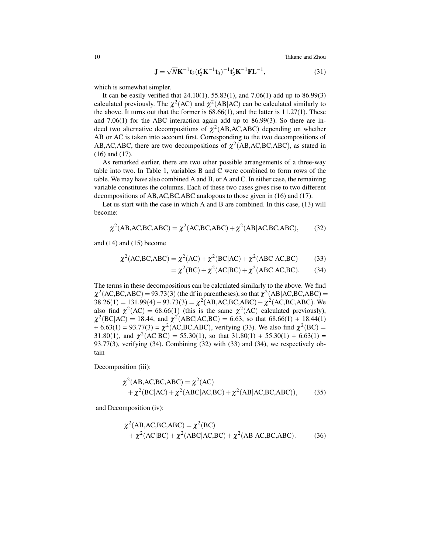$$
\mathbf{J} = \sqrt{N} \mathbf{K}^{-1} \mathbf{t}_3 (\mathbf{t}_3' \mathbf{K}^{-1} \mathbf{t}_3)^{-1} \mathbf{t}_3' \mathbf{K}^{-1} \mathbf{F} \mathbf{L}^{-1},
$$
(31)

which is somewhat simpler.

It can be easily verified that  $24.10(1)$ ,  $55.83(1)$ , and  $7.06(1)$  add up to  $86.99(3)$ calculated previously. The  $\chi^2$ (AC) and  $\chi^2$ (AB|AC) can be calculated similarly to the above. It turns out that the former is  $68.66(1)$ , and the latter is  $11.27(1)$ . These and 7.06(1) for the ABC interaction again add up to 86.99(3). So there are indeed two alternative decompositions of  $\chi^2(AB, AC, ABC)$  depending on whether AB or AC is taken into account first. Corresponding to the two decompositions of AB,AC,ABC, there are two decompositions of  $\chi^2$ (AB,AC,BC,ABC), as stated in (16) and (17).

As remarked earlier, there are two other possible arrangements of a three-way table into two. In Table 1, variables B and C were combined to form rows of the table. We may have also combined A and B, or A and C. In either case, the remaining variable constitutes the columns. Each of these two cases gives rise to two different decompositions of AB,AC,BC,ABC analogous to those given in (16) and (17).

Let us start with the case in which A and B are combined. In this case, (13) will become:

$$
\chi^2(AB, AC, BC, ABC) = \chi^2(AC, BC, ABC) + \chi^2(AB|AC, BC, ABC),
$$
 (32)

and  $(14)$  and  $(15)$  become

$$
\chi^2(AC, BC, ABC) = \chi^2(AC) + \chi^2(BC|AC) + \chi^2(ABC|AC, BC)
$$
 (33)

$$
= \chi^2(BC) + \chi^2(AC|BC) + \chi^2(ABC|AC, BC). \tag{34}
$$

The terms in these decompositions can be calculated similarly to the above. We find  $\chi^2$ (AC,BC,ABC) = 93.73(3) (the df in parentheses), so that  $\chi^2$ (AB|AC,BC,ABC) =  $38.26(1) = 131.99(4) - 93.73(3) = \chi^2(AB, AC, BC, ABC) - \chi^2(AC, BC, ABC)$ . We also find  $\chi^2(AC) = 68.66(1)$  (this is the same  $\chi^2(AC)$  calculated previously),  $\chi^2(BC|AC) = 18.44$ , and  $\chi^2(ABC|AC,BC) = 6.63$ , so that 68.66(1) + 18.44(1) + 6.63(1) = 93.77(3) =  $\chi^2$ (AC,BC,ABC), verifying (33). We also find  $\chi^2$ (BC) = 31.80(1), and  $\chi^2(AC|BC) = 55.30(1)$ , so that  $31.80(1) + 55.30(1) + 6.63(1) =$ 93.77(3), verifying (34). Combining (32) with (33) and (34), we respectively obtain

Decomposition (iii):

$$
\chi^2(AB, AC, BC, ABC) = \chi^2(AC)
$$
  
+ 
$$
\chi^2(BC|AC) + \chi^2(ABC|AC, BC) + \chi^2(AB|AC, BC, ABC)),
$$
 (35)

and Decomposition (iv):

$$
\chi^2(AB, AC, BC, ABC) = \chi^2(BC)
$$
  
+ 
$$
\chi^2(AC|BC) + \chi^2(ABC|AC, BC) + \chi^2(AB|AC, BC, ABC).
$$
 (36)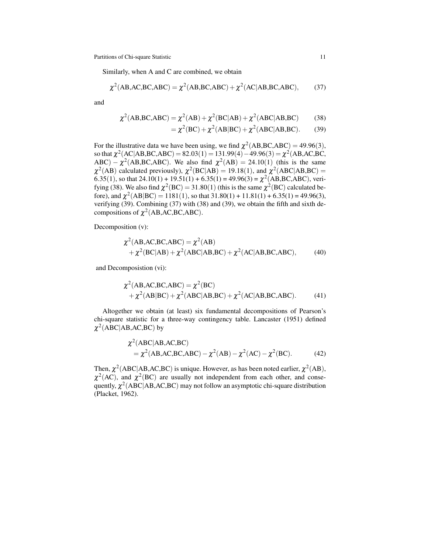Similarly, when A and C are combined, we obtain

$$
\chi^2(AB, AC, BC, ABC) = \chi^2(AB, BC, ABC) + \chi^2(AC|AB, BC, ABC),
$$
 (37)

and

$$
\chi^2(AB, BC, ABC) = \chi^2(AB) + \chi^2(BC|AB) + \chi^2(ABC|AB, BC)
$$
 (38)

$$
= \chi^2(BC) + \chi^2(AB|BC) + \chi^2(ABC|AB, BC). \tag{39}
$$

For the illustrative data we have been using, we find  $\chi^2(AB, BC, ABC) = 49.96(3)$ , so that  $\chi^2(AC|AB, BC, ABC) = 82.03(1) = 131.99(4) - 49.96(3) = \chi^2(AB, AC, BC,$ ABC) –  $\chi^2$ (AB,BC,ABC). We also find  $\chi^2$ (AB) = 24.10(1) (this is the same  $\chi^2(AB)$  calculated previously),  $\chi^2(BC|AB) = 19.18(1)$ , and  $\chi^2(ABC|AB, BC) =$ 6.35(1), so that  $24.10(1) + 19.51(1) + 6.35(1) = 49.96(3) = \chi^2(AB, BC, ABC)$ , verifying (38). We also find  $\chi^2(BC) = 31.80(1)$  (this is the same  $\chi^2(BC)$  calculated before), and  $\chi^2(AB|BC) = 1181(1)$ , so that  $31.80(1) + 11.81(1) + 6.35(1) = 49.96(3)$ , verifying (39). Combining (37) with (38) and (39), we obtain the fifth and sixth decompositions of  $\chi^2$ (AB,AC,BC,ABC).

Decomposition (v):

$$
\chi^2(AB, AC, BC, ABC) = \chi^2(AB)
$$
  
+ 
$$
\chi^2(BC|AB) + \chi^2(ABC|AB, BC) + \chi^2(AC|AB, BC, ABC),
$$
 (40)

and Decomposistion (vi):

$$
\chi^2(AB, AC, BC, ABC) = \chi^2(BC)
$$
  
+  $\chi^2(AB|BC) + \chi^2(ABC|AB, BC) + \chi^2(AC|AB, BC, ABC).$  (41)

Altogether we obtain (at least) six fundamental decompositions of Pearson's chi-square statistic for a three-way contingency table. Lancaster (1951) defined  $\chi^2$ (ABC|AB,AC,BC) by

$$
\chi^2(\text{ABC}|\text{AB}, \text{AC}, \text{BC})
$$
  
= 
$$
\chi^2(\text{AB}, \text{AC}, \text{BC}, \text{ABC}) - \chi^2(\text{AB}) - \chi^2(\text{AC}) - \chi^2(\text{BC}).
$$
 (42)

Then,  $\chi^2$ (ABC|AB,AC,BC) is unique. However, as has been noted earlier,  $\chi^2$ (AB),  $\chi^2(AC)$ , and  $\chi^2(BC)$  are usually not independent from each other, and consequently, χ 2 (ABC*|*AB,AC,BC) may not follow an asymptotic chi-square distribution (Placket, 1962).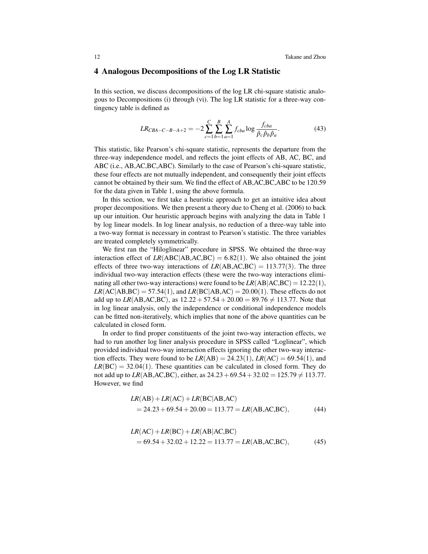#### 4 Analogous Decompositions of the Log LR Statistic

In this section, we discuss decompositions of the log LR chi-square statistic analogous to Decompositions (i) through (vi). The log LR statistic for a three-way contingency table is defined as

$$
LR_{CBA-C-B-A+2} = -2 \sum_{c=1}^{C} \sum_{b=1}^{B} \sum_{a=1}^{A} f_{cba} \log \frac{f_{cba}}{\hat{p}_c \hat{p}_b \hat{p}_a}.
$$
 (43)

This statistic, like Pearson's chi-square statistic, represents the departure from the three-way independence model, and reflects the joint effects of AB, AC, BC, and ABC (i.e., AB,AC,BC,ABC). Similarly to the case of Pearson's chi-square statistic, these four effects are not mutually independent, and consequently their joint effects cannot be obtained by their sum. We find the effect of AB,AC,BC,ABC to be 120.59 for the data given in Table 1, using the above formula.

In this section, we first take a heuristic approach to get an intuitive idea about proper decompositions. We then present a theory due to Cheng et al. (2006) to back up our intuition. Our heuristic approach begins with analyzing the data in Table 1 by log linear models. In log linear analysis, no reduction of a three-way table into a two-way format is necessary in contrast to Pearson's statistic. The three variables are treated completely symmetrically.

We first ran the "Hiloglinear" procedure in SPSS. We obtained the three-way interaction effect of  $LR(ABC|AB, AC, BC) = 6.82(1)$ . We also obtained the joint effects of three two-way interactions of  $LR(AB, AC, BC) = 113.77(3)$ . The three individual two-way interaction effects (these were the two-way interactions eliminating all other two-way interactions) were found to be  $LR(AB|AC,BC) = 12.22(1)$ ,  $LR(AC|AB, BC) = 57.54(1)$ , and  $LR(BC|AB, AC) = 20.00(1)$ . These effects do not add up to *LR*(AB,AC,BC), as  $12.22 + 57.54 + 20.00 = 89.76 \neq 113.77$ . Note that in log linear analysis, only the independence or conditional independence models can be fitted non-iteratively, which implies that none of the above quantities can be calculated in closed form.

In order to find proper constituents of the joint two-way interaction effects, we had to run another log liner analysis procedure in SPSS called "Loglinear", which provided individual two-way interaction effects ignoring the other two-way interaction effects. They were found to be  $LR(AB) = 24.23(1)$ ,  $LR(AC) = 69.54(1)$ , and  $LR(BC) = 32.04(1)$ . These quantities can be calculated in closed form. They do not add up to *LR*(AB,AC,BC), either, as  $24.23 + 69.54 + 32.02 = 125.79 \neq 113.77$ . However, we find

$$
LR(AB) + LR(AC) + LR(BC|AB, AC)
$$
  
= 24.23 + 69.54 + 20.00 = 113.77 =  $LR(AB, AC, BC)$ , (44)

$$
LR(AC) + LR(BC) + LR(AB|AC, BC)
$$
  
= 69.54 + 32.02 + 12.22 = 113.77 =  $LR(AB, AC, BC)$ , (45)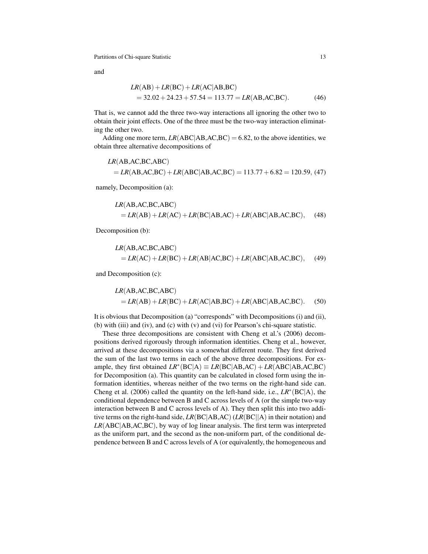and

$$
LR(AB) + LR(BC) + LR(AC|AB, BC)
$$
  
= 32.02 + 24.23 + 57.54 = 113.77 = LR(AB, AC, BC). (46)

That is, we cannot add the three two-way interactions all ignoring the other two to obtain their joint effects. One of the three must be the two-way interaction eliminating the other two.

Adding one more term,  $LR(ABC|AB, AC, BC) = 6.82$ , to the above identities, we obtain three alternative decompositions of

$$
LR(AB, AC, BC, ABC)
$$
  
=  $LR(AB, AC, BC) + LR(ABC|AB, AC, BC) = 113.77 + 6.82 = 120.59, (47)$ 

namely, Decomposition (a):

$$
LR(AB, AC, BC, ABC)
$$
  
=  $LR(AB) + LR(AC) + LR(BC|AB, AC) + LR(ABC|AB, AC, BC)$ , (48)

Decomposition (b):

$$
LR(AB, AC, BC, ABC)
$$
  
=  $LR(AC) + LR(BC) + LR(AB|AC, BC) + LR(ABC|AB, AC, BC)$ , (49)

and Decomposition (c):

$$
LR(AB, AC, BC, ABC)
$$
  
=  $LR(AB) + LR(BC) + LR(AC|AB, BC) + LR(ABC|AB, AC, BC).$  (50)

It is obvious that Decomposition (a) "corresponds" with Decompositions (i) and (ii), (b) with (iii) and (iv), and (c) with (v) and (vi) for Pearson's chi-square statistic.

These three decompositions are consistent with Cheng et al.'s (2006) decompositions derived rigorously through information identities. Cheng et al., however, arrived at these decompositions via a somewhat different route. They first derived the sum of the last two terms in each of the above three decompositions. For example, they first obtained  $LR^*(BC|A) \equiv LR(BC|AB,AC) + LR(ABC|AB,AC,BC)$ for Decomposition (a). This quantity can be calculated in closed form using the information identities, whereas neither of the two terms on the right-hand side can. Cheng et al. (2006) called the quantity on the left-hand side, i.e., *LR∗* (BC*|*A), the conditional dependence between B and C across levels of A (or the simple two-way interaction between B and C across levels of A). They then split this into two additive terms on the right-hand side, *LR*(BC*|*AB,AC) (*LR*(BC*||*A) in their notation) and *LR*(ABC*|*AB,AC,BC), by way of log linear analysis. The first term was interpreted as the uniform part, and the second as the non-uniform part, of the conditional dependence between B and C across levels of A (or equivalently, the homogeneous and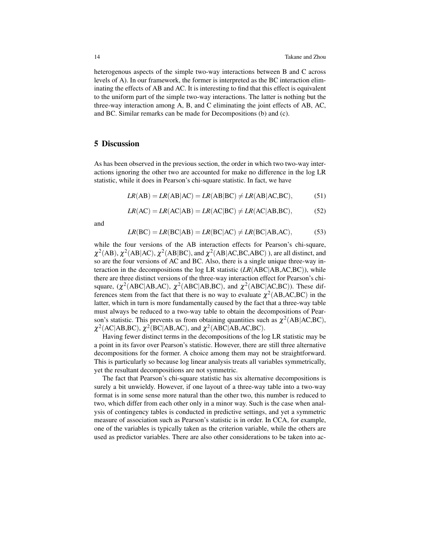heterogenous aspects of the simple two-way interactions between B and C across levels of A). In our framework, the former is interpreted as the BC interaction eliminating the effects of AB and AC. It is interesting to find that this effect is equivalent to the uniform part of the simple two-way interactions. The latter is nothing but the three-way interaction among A, B, and C eliminating the joint effects of AB, AC, and BC. Similar remarks can be made for Decompositions (b) and (c).

### 5 Discussion

As has been observed in the previous section, the order in which two two-way interactions ignoring the other two are accounted for make no difference in the log LR statistic, while it does in Pearson's chi-square statistic. In fact, we have

$$
LR(AB) = LR(AB|AC) = LR(AB|BC) \neq LR(AB|AC, BC), \tag{51}
$$

$$
LR(AC) = LR(AC|AB) = LR(AC|BC) \neq LR(AC|AB, BC), \tag{52}
$$

and

$$
LR(BC) = LR(BC|AB) = LR(BC|AC) \neq LR(BC|AB, AC),
$$
 (53)

while the four versions of the AB interaction effects for Pearson's chi-square,  $\chi^2(AB)$ ,  $\chi^2(AB|AC)$ ,  $\chi^2(AB|BC)$ , and  $\chi^2(AB|AC, BC, ABC)$ ), are all distinct, and so are the four versions of AC and BC. Also, there is a single unique three-way interaction in the decompositions the log LR statistic (*LR*(ABC*|*AB,AC,BC)), while there are three distinct versions of the three-way interaction effect for Pearson's chisquare,  $(\chi^2(ABC|AB,AC), \chi^2(ABC|AB,BC),$  and  $\chi^2(ABC|AC,BC)$ ). These differences stem from the fact that there is no way to evaluate  $\chi^2(AB, AC, BC)$  in the latter, which in turn is more fundamentally caused by the fact that a three-way table must always be reduced to a two-way table to obtain the decompositions of Pearson's statistic. This prevents us from obtaining quantities such as  $\chi^2(AB|AC,BC)$ ,  $\chi^2$ (AC|AB,BC),  $\chi^2$ (BC|AB,AC), and  $\chi^2$ (ABC|AB,AC,BC).

Having fewer distinct terms in the decompositions of the log LR statistic may be a point in its favor over Pearson's statistic. However, there are still three alternative decompositions for the former. A choice among them may not be straightforward. This is particularly so because log linear analysis treats all variables symmetrically, yet the resultant decompositions are not symmetric.

The fact that Pearson's chi-square statistic has six alternative decompositions is surely a bit unwieldy. However, if one layout of a three-way table into a two-way format is in some sense more natural than the other two, this number is reduced to two, which differ from each other only in a minor way. Such is the case when analysis of contingency tables is conducted in predictive settings, and yet a symmetric measure of association such as Pearson's statistic is in order. In CCA, for example, one of the variables is typically taken as the criterion variable, while the others are used as predictor variables. There are also other considerations to be taken into ac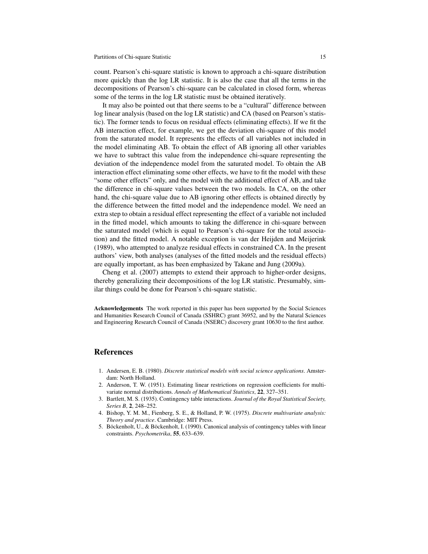count. Pearson's chi-square statistic is known to approach a chi-square distribution more quickly than the log LR statistic. It is also the case that all the terms in the decompositions of Pearson's chi-square can be calculated in closed form, whereas some of the terms in the log LR statistic must be obtained iteratively.

It may also be pointed out that there seems to be a "cultural" difference between log linear analysis (based on the log LR statistic) and CA (based on Pearson's statistic). The former tends to focus on residual effects (eliminating effects). If we fit the AB interaction effect, for example, we get the deviation chi-square of this model from the saturated model. It represents the effects of all variables not included in the model eliminating AB. To obtain the effect of AB ignoring all other variables we have to subtract this value from the independence chi-square representing the deviation of the independence model from the saturated model. To obtain the AB interaction effect eliminating some other effects, we have to fit the model with these "some other effects" only, and the model with the additional effect of AB, and take the difference in chi-square values between the two models. In CA, on the other hand, the chi-square value due to AB ignoring other effects is obtained directly by the difference between the fitted model and the independence model. We need an extra step to obtain a residual effect representing the effect of a variable not included in the fitted model, which amounts to taking the difference in chi-square between the saturated model (which is equal to Pearson's chi-square for the total association) and the fitted model. A notable exception is van der Heijden and Meijerink (1989), who attempted to analyze residual effects in constrained CA. In the present authors' view, both analyses (analyses of the fitted models and the residual effects) are equally important, as has been emphasized by Takane and Jung (2009a).

Cheng et al. (2007) attempts to extend their approach to higher-order designs, thereby generalizing their decompositions of the log LR statistic. Presumably, similar things could be done for Pearson's chi-square statistic.

Acknowledgements The work reported in this paper has been supported by the Social Sciences and Humanities Research Council of Canada (SSHRC) grant 36952, and by the Natural Sciences and Engineering Research Council of Canada (NSERC) discovery grant 10630 to the first author.

#### References

- 1. Andersen, E. B. (1980). *Discrete statistical models with social science applications*. Amsterdam: North Holland.
- 2. Anderson, T. W. (1951). Estimating linear restrictions on regression coefficients for multivariate normal distributions. *Annals of Mathematical Statistics*, 22, 327–351.
- 3. Bartlett, M. S. (1935). Contingency table interactions. *Journal of the Royal Statistical Society, Series B*, 2, 248–252.
- 4. Bishop, Y. M. M., Fienberg, S. E., & Holland, P. W. (1975). *Discrete multivariate analysis: Theory and practice*. Cambridge: MIT Press.
- 5. Böckenholt, U., & Böckenholt, I. (1990). Canonical analysis of contingency tables with linear constraints. *Psychometrika*, 55, 633–639.